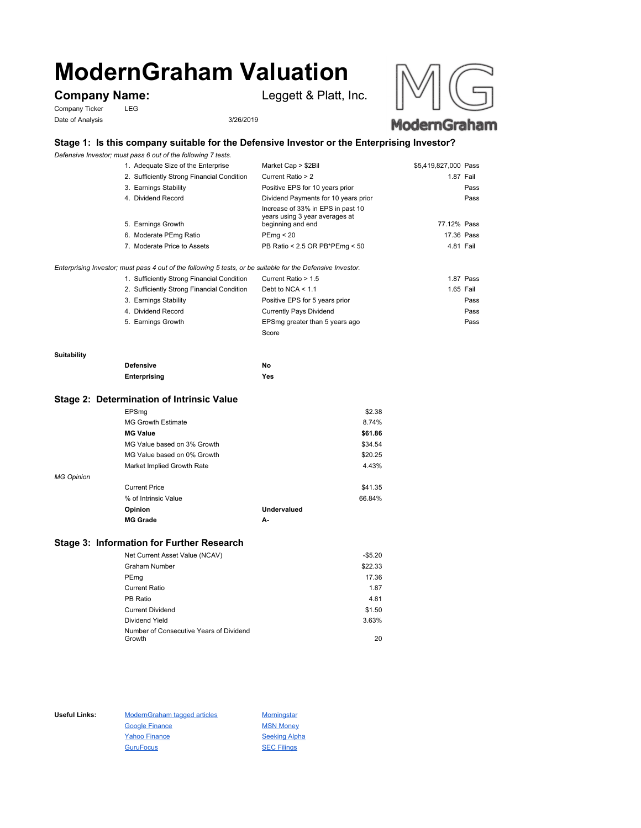# **ModernGraham Valuation**

Company Ticker LEG Date of Analysis 3/26/2019

**Company Name:** Leggett & Platt, Inc.



## **Stage 1: Is this company suitable for the Defensive Investor or the Enterprising Investor?**

*Defensive Investor; must pass 6 out of the following 7 tests.*

| 1. Adequate Size of the Enterprise         | Market Cap > \$2Bil                                                                      | \$5,419,827,000 Pass |
|--------------------------------------------|------------------------------------------------------------------------------------------|----------------------|
| 2. Sufficiently Strong Financial Condition | Current Ratio > 2                                                                        | 1.87 Fail            |
| 3. Earnings Stability                      | Positive EPS for 10 years prior                                                          | Pass                 |
| 4. Dividend Record                         | Dividend Payments for 10 years prior                                                     | Pass                 |
| 5. Earnings Growth                         | Increase of 33% in EPS in past 10<br>years using 3 year averages at<br>beginning and end | 77.12% Pass          |
| 6. Moderate PEmg Ratio                     | PEmg < 20                                                                                | 17.36 Pass           |
| 7. Moderate Price to Assets                | PB Ratio < 2.5 OR PB*PEmg < 50                                                           | 4.81 Fail            |
|                                            |                                                                                          |                      |

*Enterprising Investor; must pass 4 out of the following 5 tests, or be suitable for the Defensive Investor.*

| 1. Sufficiently Strong Financial Condition | Current Ratio > 1.5            | 1.87 Pass |
|--------------------------------------------|--------------------------------|-----------|
| 2. Sufficiently Strong Financial Condition | Debt to NCA $<$ 1.1            | 1.65 Fail |
| 3. Earnings Stability                      | Positive EPS for 5 years prior | Pass      |
| 4. Dividend Record                         | <b>Currently Pays Dividend</b> | Pass      |
| 5. Earnings Growth                         | EPSmg greater than 5 years ago | Pass      |
|                                            | Score                          |           |

#### **Suitability**

| <b>Defensive</b> | No  |
|------------------|-----|
| Enterprising     | Yes |

#### **Stage 2: Determination of Intrinsic Value**

|                   | EPSmg                       |             | \$2.38  |
|-------------------|-----------------------------|-------------|---------|
|                   | <b>MG Growth Estimate</b>   |             | 8.74%   |
|                   | <b>MG Value</b>             |             | \$61.86 |
|                   | MG Value based on 3% Growth |             | \$34.54 |
|                   | MG Value based on 0% Growth |             | \$20.25 |
|                   | Market Implied Growth Rate  |             | 4.43%   |
| <b>MG Opinion</b> |                             |             |         |
|                   | <b>Current Price</b>        |             | \$41.35 |
|                   | % of Intrinsic Value        |             | 66.84%  |
|                   | Opinion                     | Undervalued |         |
|                   | <b>MG Grade</b>             | А-          |         |
|                   |                             |             |         |

## **Stage 3: Information for Further Research**

| Net Current Asset Value (NCAV)          | $-$5.20$ |
|-----------------------------------------|----------|
| Graham Number                           | \$22.33  |
| PEmg                                    | 17.36    |
| Current Ratio                           | 1.87     |
| PB Ratio                                | 4.81     |
| <b>Current Dividend</b>                 | \$1.50   |
| Dividend Yield                          | 3.63%    |
| Number of Consecutive Years of Dividend |          |
| Growth                                  | 20       |

Useful Links: ModernGraham tagged articles Morningstar Google Finance MSN Money Yahoo Finance Seeking Alpha GuruFocus SEC Filings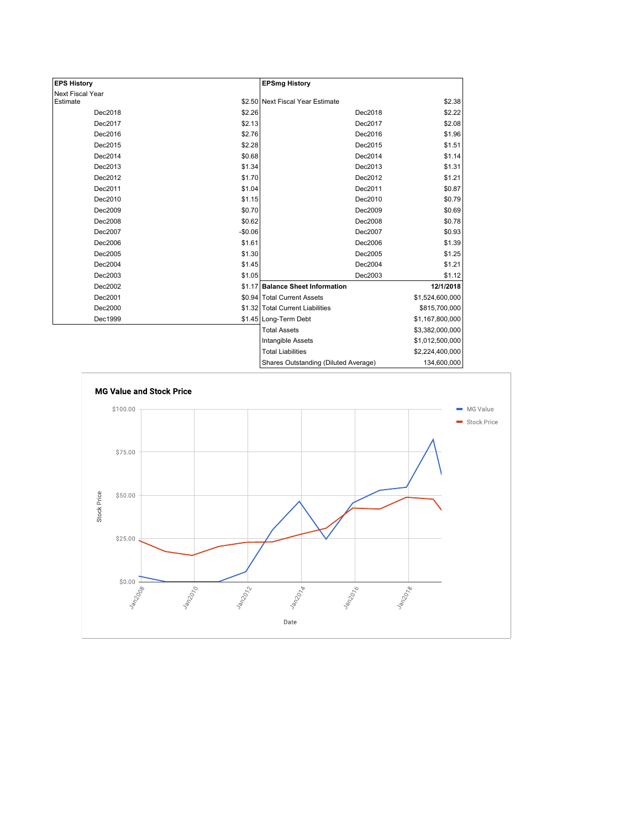| <b>EPS History</b> |          | <b>EPSmg History</b>                 |                 |
|--------------------|----------|--------------------------------------|-----------------|
| Next Fiscal Year   |          |                                      |                 |
| Estimate           |          | \$2.50 Next Fiscal Year Estimate     | \$2.38          |
| Dec2018            | \$2.26   | Dec2018                              | \$2.22          |
| Dec2017            | \$2.13   | Dec2017                              | \$2.08          |
| Dec2016            | \$2.76   | Dec2016                              | \$1.96          |
| Dec2015            | \$2.28   | Dec2015                              | \$1.51          |
| Dec2014            | \$0.68   | Dec2014                              | \$1.14          |
| Dec2013            | \$1.34   | Dec2013                              | \$1.31          |
| Dec2012            | \$1.70   | Dec2012                              | \$1.21          |
| Dec2011            | \$1.04   | Dec2011                              | \$0.87          |
| Dec2010            | \$1.15   | Dec2010                              | \$0.79          |
| Dec2009            | \$0.70   | Dec2009                              | \$0.69          |
| Dec2008            | \$0.62   | Dec2008                              | \$0.78          |
| Dec2007            | $-$0.06$ | Dec2007                              | \$0.93          |
| Dec2006            | \$1.61   | Dec2006                              | \$1.39          |
| Dec2005            | \$1.30   | Dec2005                              | \$1.25          |
| Dec2004            | \$1.45   | Dec2004                              | \$1.21          |
| Dec2003            | \$1.05   | Dec2003                              | \$1.12          |
| Dec2002            |          | \$1.17 Balance Sheet Information     | 12/1/2018       |
| Dec2001            |          | \$0.94 Total Current Assets          | \$1,524,600,000 |
| Dec2000            |          | \$1.32 Total Current Liabilities     | \$815,700,000   |
| Dec1999            |          | \$1.45 Long-Term Debt                | \$1,167,800,000 |
|                    |          | <b>Total Assets</b>                  | \$3,382,000,000 |
|                    |          | Intangible Assets                    | \$1,012,500,000 |
|                    |          | <b>Total Liabilities</b>             | \$2,224,400,000 |
|                    |          | Shares Outstanding (Diluted Average) | 134,600,000     |